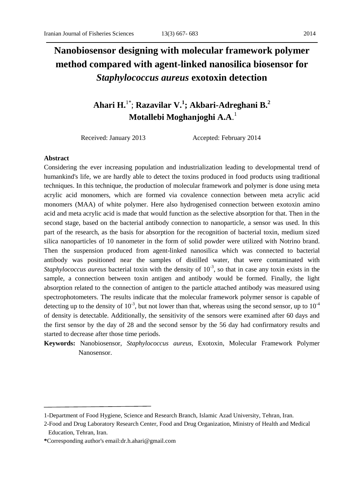# **Nanobiosensor designing with molecular framework polymer method compared with agent-linked nanosilica biosensor for** *Staphylococcus aureus* **exotoxin detection**

## **Ahari H.**1\* ; **Razavilar V. 1 ; Akbari-Adreghani B.<sup>2</sup> Motallebi Moghanjoghi A.A**. 1

Received: January 2013 Accepted: February 2014

#### **Abstract**

Considering the ever increasing population and industrialization leading to developmental trend of humankind's life, we are hardly able to detect the toxins produced in food products using traditional techniques. In this technique, the production of molecular framework and polymer is done using meta acrylic acid monomers, which are formed via covalence connection between meta acrylic acid monomers (MAA) of white polymer. Here also hydrogenised connection between exotoxin amino acid and meta acrylic acid is made that would function as the selective absorption for that. Then in the second stage, based on the bacterial antibody connection to nanoparticle, a sensor was used. In this part of the research, as the basis for absorption for the recognition of bacterial toxin, medium sized silica nanoparticles of 10 nanometer in the form of solid powder were utilized with Notrino brand. Then the suspension produced from agent-linked nanosilica which was connected to bacterial antibody was positioned near the samples of distilled water, that were contaminated with *Staphylococcus aureus* bacterial toxin with the density of  $10^{-3}$ , so that in case any toxin exists in the sample, a connection between toxin antigen and antibody would be formed. Finally, the light absorption related to the connection of antigen to the particle attached antibody was measured using spectrophotometers. The results indicate that the molecular framework polymer sensor is capable of detecting up to the density of  $10^{-3}$ , but not lower than that, whereas using the second sensor, up to  $10^{-4}$ of density is detectable. Additionally, the sensitivity of the sensors were examined after 60 days and the first sensor by the day of 28 and the second sensor by the 56 day had confirmatory results and started to decrease after those time periods.

**Keywords:** Nanobiosensor, *Staphylococcus aureus,* Exotoxin, Molecular Framework Polymer Nanosensor.

<sup>1-</sup>Department of Food Hygiene, Science and Research Branch, Islamic Azad University, Tehran, Iran.

<sup>2-</sup>Food and Drug Laboratory Research Center, Food and Drug Organization, Ministry of Health and Medical Education, Tehran, Iran.

**<sup>\*</sup>**Corresponding author's email[:dr.h.ahari@gmail.com](mailto:dr.h.ahari@gmail.com)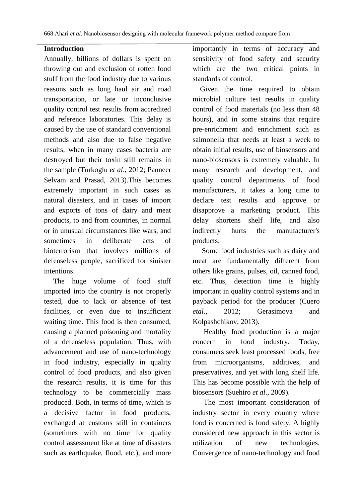#### **Introduction**

Annually, billions of dollars is spent on throwing out and exclusion of rotten food stuff from the food industry due to various reasons such as long haul air and road transportation, or late or inconclusive quality control test results from accredited and reference laboratories. This delay is caused by the use of standard conventional methods and also due to false negative results, when in many cases bacteria are destroyed but their toxin still remains in the sample [\(Turkoglu](#page-15-0) *et al*., 2012; [Panneer](#page-15-1)  [Selvam and Prasad, 2013\)](#page-15-1).This becomes extremely important in such cases as natural disasters, and in cases of import and exports of tons of dairy and meat products, to and from countries, in normal or in unusual circumstances like wars, and sometimes in deliberate acts of bioterrorism that involves millions of defenseless people, sacrificed for sinister intentions.

 The huge volume of food stuff imported into the country is not properly tested, due to lack or absence of test facilities, or even due to insufficient waiting time. This food is then consumed, causing a planned poisoning and mortality of a defenseless population. Thus, with advancement and use of nano-technology in food industry, especially in quality control of food products, and also given the research results, it is time for this technology to be commercially mass produced. Both, in terms of time, which is a decisive factor in food products, exchanged at customs still in containers (sometimes with no time for quality control assessment like at time of disasters such as earthquake, flood, etc.), and more importantly in terms of accuracy and sensitivity of food safety and security which are the two critical points in standards of control.

 Given the time required to obtain microbial culture test results in quality control of food materials (no less than 48 hours), and in some strains that require pre-enrichment and enrichment such as salmonella that needs at least a week to obtain initial results, use of biosensors and nano-biosensors is extremely valuable. In many research and development, and quality control departments of food manufacturers, it takes a long time to declare test results and approve or disapprove a marketing product. This delay shortens shelf life, and also indirectly hurts the manufacturer's products.

 Some food industries such as dairy and meat are fundamentally different from others like grains, pulses, oil, canned food, etc. Thus, detection time is highly important in quality control systems and in payback period for the producer [\(Cuero](#page-14-0)  *etal*[., 2012;](#page-14-0) [Gerasimova and](#page-14-1)  [Kolpashchikov, 2013\)](#page-14-1).

 Healthy food production is a major concern in food industry. Today, consumers seek least processed foods, free from microorganisms, additives, and preservatives, and yet with long shelf life. This has become possible with the help of biosensors [\(Suehiro](#page-15-2) *et al*., 2009).

 The most important consideration of industry sector in every country where food is concerned is food safety. A highly considered new approach in this sector is utilization of new technologies. Convergence of nano-technology and food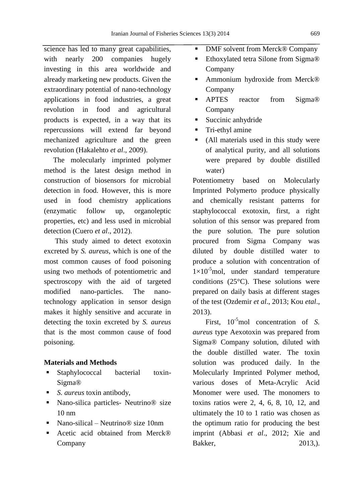science has led to many great capabilities, with nearly 200 companies hugely investing in this area worldwide and already marketing new products. Given the extraordinary potential of nano-technology applications in food industries, a great revolution in food and agricultural products is expected, in a way that its repercussions will extend far beyond mechanized agriculture and the green revolution [\(Hakalehto](#page-14-2) *et al*., 2009).

 The molecularly imprinted polymer method is the latest design method in construction of biosensors for microbial detection in food. However, this is more used in food chemistry applications (enzymatic follow up, organoleptic properties, etc) and less used in microbial detection (Cuero *et al*[., 2012\)](#page-14-0).

 This study aimed to detect exotoxin excreted by *S. aureus*, which is one of the most common causes of food poisoning using two methods of potentiometric and spectroscopy with the aid of targeted modified nano-particles. The nanotechnology application in sensor design makes it highly sensitive and accurate in detecting the toxin excreted by *S. aureus* that is the most common cause of food poisoning.

### **Materials and Methods**

- Staphylococcal bacterial toxin-Sigma®
- *S. aureus* toxin antibody,
- Nano-silica particles- Neutrino<sup>®</sup> size 10 nm
- Nano-silical Neutrino® size 10nm
- Acetic acid obtained from Merck<sup>®</sup> Company
- DMF solvent from Merck® Company
- Ethoxylated tetra Silone from Sigma<sup>®</sup> Company
- Ammonium hydroxide from Merck<sup>®</sup> Company
- **APTES** reactor from Sigma® Company
- Succinic anhydride
- **Tri-ethyl amine**
- (All materials used in this study were of analytical purity, and all solutions were prepared by double distilled water)

Potentiometry based on Molecularly Imprinted Polymerto produce physically and chemically resistant patterns for staphylococcal exotoxin, first, a right solution of this sensor was prepared from the pure solution. The pure solution procured from Sigma Company was diluted by double distilled water to produce a solution with concentration of  $1\times10^{-5}$ mol, under standard temperature conditions (25°C). These solutions were prepared on daily basis at different stages of the test [\(Ozdemir](#page-15-3) *et al*., 2013; [Kou](#page-14-3) *etal*., [2013\)](#page-14-3).

First,  $10^{-5}$ mol concentration of *S*. *aureus* type Aexotoxin was prepared from Sigma® Company solution, diluted with the double distilled water. The toxin solution was produced daily. In the Molecularly Imprinted Polymer method, various doses of Meta-Acrylic Acid Monomer were used. The monomers to toxins ratios were 2, 4, 6, 8, 10, 12, and ultimately the 10 to 1 ratio was chosen as the optimum ratio for producing the best imprint (Abbasi *et al*[., 2012;](#page-14-4) [Xie and](#page-16-0)  [Bakker, 2013,](#page-16-0)).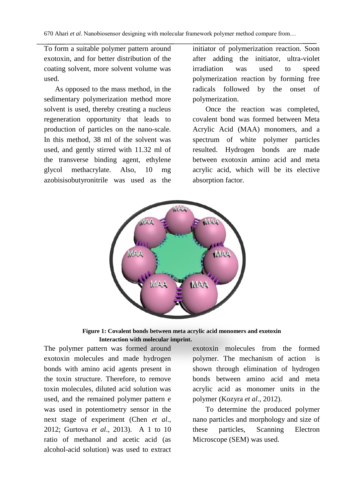To form a suitable polymer pattern around exotoxin, and for better distribution of the coating solvent, more solvent volume was used.

 As opposed to the mass method, in the sedimentary polymerization method more solvent is used, thereby creating a nucleus regeneration opportunity that leads to production of particles on the nano-scale. In this method, 38 ml of the solvent was used, and gently stirred with 11.32 ml of the transverse binding agent, ethylene glycol methacrylate. Also, 10 mg azobisisobutyronitrile was used as the

initiator of polymerization reaction. Soon after adding the initiator, ultra-violet irradiation was used to speed polymerization reaction by forming free radicals followed by the onset of polymerization.

 Once the reaction was completed, covalent bond was formed between Meta Acrylic Acid (MAA) monomers, and a spectrum of white polymer particles resulted. Hydrogen bonds are made between exotoxin amino acid and meta acrylic acid, which will be its elective absorption factor.



**Figure 1: Covalent bonds between meta acrylic acid monomers and exotoxin Interaction with molecular imprint.**

The polymer pattern was formed around exotoxin molecules and made hydrogen bonds with amino acid agents present in the toxin structure. Therefore, to remove toxin molecules, diluted acid solution was used, and the remained polymer pattern e was used in potentiometry sensor in the next stage of experiment [\(Chen](#page-14-5) *et al*., [2012;](#page-14-5) [Gurtova](#page-14-6) *et al*., 2013). A 1 to 10 ratio of methanol and acetic acid (as alcohol-acid solution) was used to extract

exotoxin molecules from the formed polymer. The mechanism of action is shown through elimination of hydrogen bonds between amino acid and meta acrylic acid as monomer units in the polymer [\(Kozyra](#page-15-4) *et al*., 2012).

 To determine the produced polymer nano particles and morphology and size of these particles, Scanning Electron Microscope (SEM) was used.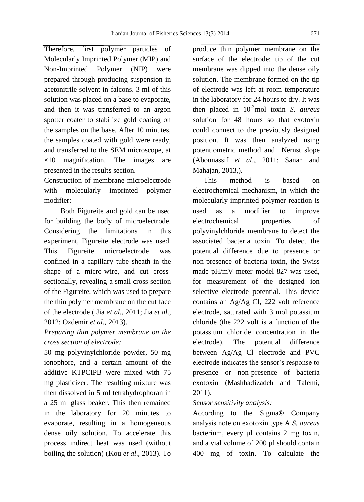Therefore, first polymer particles of Molecularly Imprinted Polymer (MIP) and Non-Imprinted Polymer (NIP) were prepared through producing suspension in acetonitrile solvent in falcons. 3 ml of this solution was placed on a base to evaporate, and then it was transferred to an argon spotter coater to stabilize gold coating on the samples on the base. After 10 minutes, the samples coated with gold were ready, and transferred to the SEM microscope, at  $\times$ 10 magnification. The images are presented in the results section.

Construction of membrane microelectrode with molecularly imprinted polymer modifier:

 Both Figureite and gold can be used for building the body of microelectrode. Considering the limitations in this experiment, Figureite electrode was used. This Figureite microelectrode was confined in a capillary tube sheath in the shape of a micro-wire, and cut crosssectionally, revealing a small cross section of the Figureite, which was used to prepare the thin polymer membrane on the cut face of the electrode ( Jia *et al.*[, 2011;](#page-14-7) Jia *[et al](#page-14-8)*., [2012;](#page-14-8) [Ozdemir](#page-15-3) *et al.*, 2013).

## *Preparing thin polymer membrane on the cross section of electrode:*

50 mg polyvinylchloride powder, 50 mg ionophore, and a certain amount of the additive KTPCIPB were mixed with 75 mg plasticizer. The resulting mixture was then dissolved in 5 ml tetrahydrophoran in a 25 ml glass beaker. This then remained in the laboratory for 20 minutes to evaporate, resulting in a homogeneous dense oily solution. To accelerate this process indirect heat was used (without boiling the solution) (Kou *et al*[., 2013\)](#page-14-3). To produce thin polymer membrane on the surface of the electrode: tip of the cut membrane was dipped into the dense oily solution. The membrane formed on the tip of electrode was left at room temperature in the laboratory for 24 hours to dry. It was then placed in 10-3mol toxin *S. aureus* solution for 48 hours so that exotoxin could connect to the previously designed position. It was then analyzed using potentiometric method and Nernst slope [\(Abounassif](#page-14-9) *et al*., 2011; [Sanan and](#page-15-5)  [Mahajan, 2013,](#page-15-5)).

 This method is based on electrochemical mechanism, in which the molecularly imprinted polymer reaction is used as a modifier to improve electrochemical properties of polyvinylchloride membrane to detect the associated bacteria toxin. To detect the potential difference due to presence or non-presence of bacteria toxin, the Swiss made pH/mV meter model 827 was used, for measurement of the designed ion selective electrode potential. This device contains an Ag/Ag Cl, 222 volt reference electrode, saturated with 3 mol potassium chloride (the 222 volt is a function of the potassium chloride concentration in the electrode). The potential difference between Ag/Ag Cl electrode and PVC electrode indicates the sensor's response to presence or non-presence of bacteria exotoxin [\(Mashhadizadeh and Talemi,](#page-15-6)  [2011\)](#page-15-6).

### *Sensor sensitivity analysis:*

According to the Sigma® Company analysis note on exotoxin type A *S. aureus* bacterium, every µl contains 2 mg toxin, and a vial volume of 200 µl should contain 400 mg of toxin. To calculate the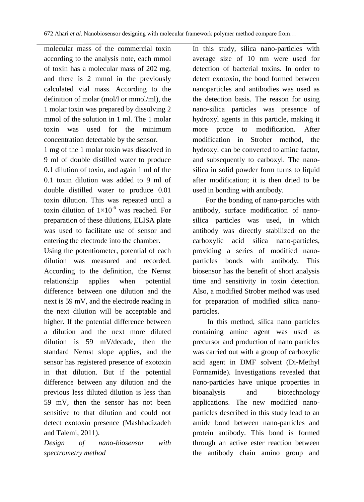molecular mass of the commercial toxin according to the analysis note, each mmol of toxin has a molecular mass of 202 mg, and there is 2 mmol in the previously calculated vial mass. According to the definition of molar (mol/l or mmol/ml), the 1 molar toxin was prepared by dissolving 2 mmol of the solution in 1 ml. The 1 molar toxin was used for the minimum concentration detectable by the sensor.

1 mg of the 1 molar toxin was dissolved in 9 ml of double distilled water to produce 0.1 dilution of toxin, and again 1 ml of the 0.1 toxin dilution was added to 9 ml of double distilled water to produce 0.01 toxin dilution. This was repeated until a toxin dilution of  $1\times10^{-6}$  was reached. For preparation of these dilutions, ELISA plate was used to facilitate use of sensor and entering the electrode into the chamber.

Using the potentiometer, potential of each dilution was measured and recorded. According to the definition, the Nernst relationship applies when potential difference between one dilution and the next is 59 mV, and the electrode reading in the next dilution will be acceptable and higher. If the potential difference between a dilution and the next more diluted dilution is 59 mV/decade, then the standard Nernst slope applies, and the sensor has registered presence of exotoxin in that dilution. But if the potential difference between any dilution and the previous less diluted dilution is less than 59 mV, then the sensor has not been sensitive to that dilution and could not detect exotoxin presence [\(Mashhadizadeh](#page-15-6)  [and Talemi, 2011\)](#page-15-6).

*Design of nano-biosensor with spectrometry method*

In this study, silica nano-particles with average size of 10 nm were used for detection of bacterial toxins. In order to detect exotoxin, the bond formed between nanoparticles and antibodies was used as the detection basis. The reason for using nano-silica particles was presence of hydroxyl agents in this particle, making it more prone to modification. After modification in Strober method, the hydroxyl can be converted to amine factor, and subsequently to carboxyl. The nanosilica in solid powder form turns to liquid after modification; it is then dried to be used in bonding with antibody.

 For the bonding of nano-particles with antibody, surface modification of nanosilica particles was used, in which antibody was directly stabilized on the carboxylic acid silica nano-particles, providing a series of modified nanoparticles bonds with antibody. This biosensor has the benefit of short analysis time and sensitivity in toxin detection. Also, a modified Strober method was used for preparation of modified silica nanoparticles.

 In this method, silica nano particles containing amine agent was used as precursor and production of nano particles was carried out with a group of carboxylic acid agent in DMF solvent (Di-Methyl Formamide). Investigations revealed that nano-particles have unique properties in bioanalysis and biotechnology applications. The new modified nanoparticles described in this study lead to an amide bond between nano-particles and protein antibody. This bond is formed through an active ester reaction between the antibody chain amino group and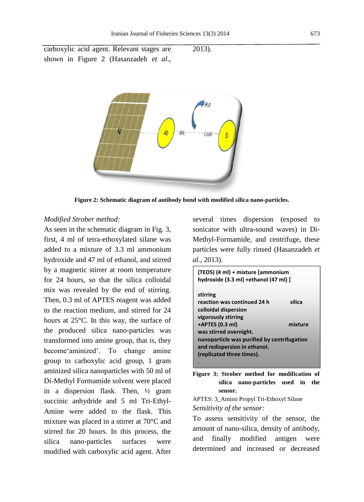carboxylic acid agent. Relevant stages are shown in Figure 2 (Hasanzadeh *et al*., 2013).



**Figure 2: Schematic diagram of antibody bond with modified silica nano-particles.**

#### *Modified Strober method:*

As seen in the schematic diagram in Fig. 3, first, 4 ml of tetra-ethoxylated silane was added to a mixture of 3.3 ml ammonium hydroxide and 47 ml of ethanol, and stirred by a magnetic stirrer at room temperature for 24 hours, so that the silica colloidal mix was revealed by the end of stirring. Then, 0.3 ml of APTES reagent was added to the reaction medium, and stirred for 24 hours at 25°C. In this way, the surface of the produced silica nano-particles was transformed into amine group, that is, they become'aminized'. To change amine group to carboxylic acid group, 1 gram aminized silica nanoparticles with 50 ml of Di-Methyl Formamide solvent were placed in a dispersion flask. Then, ½ gram succinic anhydride and 5 ml Tri-Ethyl-Amine were added to the flask. This mixture was placed in a stirrer at 70°C and stirred for 20 hours. In this process, the silica nano-particles surfaces were modified with carboxylic acid agent. After

several times dispersion (exposed to sonicator with ultra-sound waves) in Di-Methyl-Formamide, and centrifuge, these particles were fully rinsed [\(Hasanzadeh](#page-14-10) *et al.*[, 2013\)](#page-14-10).

| (TEOS) (4 ml) + mixture (ammonium<br>hydroxide (3.3 ml) +ethanol (47 ml) ] |         |
|----------------------------------------------------------------------------|---------|
| stirring                                                                   |         |
| reaction was continued 24 h                                                | silica  |
| colloidal dispersion                                                       |         |
| vigorously stirring                                                        |         |
| +APTES (0.3 ml)                                                            | mixture |
| was stirred overnight.                                                     |         |
| nanoparticle was purified by centrifugation                                |         |
| and redispersion in ethanol.                                               |         |
| (replicated three times).                                                  |         |
|                                                                            |         |

**Figure 3: Strober method for modification of silica nano-particles used in the sensor.**

```
APTES: 3_Amino Propyl Tri-Ethoxyl Silane
Sensitivity of the sensor:
```
To assess sensitivity of the sensor, the amount of nano-silica, density of antibody, and finally modified antigen were determined and increased or decreased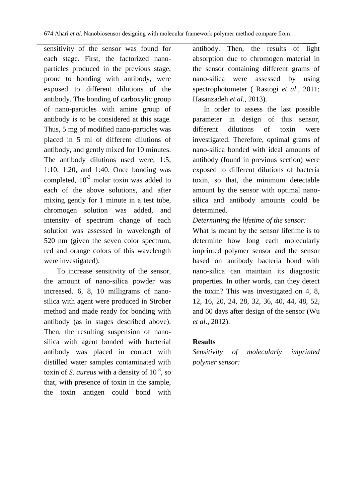sensitivity of the sensor was found for each stage. First, the factorized nanoparticles produced in the previous stage, prone to bonding with antibody, were exposed to different dilutions of the antibody. The bonding of carboxylic group of nano-particles with amine group of antibody is to be considered at this stage. Thus, 5 mg of modified nano-particles was placed in 5 ml of different dilutions of antibody, and gently mixed for 10 minutes. The antibody dilutions used were; 1:5, 1:10, 1:20, and 1:40. Once bonding was completed,  $10^{-3}$  molar toxin was added to each of the above solutions, and after mixing gently for 1 minute in a test tube, chromogen solution was added, and intensity of spectrum change of each solution was assessed in wavelength of 520 nm (given the seven color spectrum, red and orange colors of this wavelength were investigated).

 To increase sensitivity of the sensor, the amount of nano-silica powder was increased. 6, 8, 10 milligrams of nanosilica with agent were produced in Strober method and made ready for bonding with antibody (as in stages described above). Then, the resulting suspension of nanosilica with agent bonded with bacterial antibody was placed in contact with distilled water samples contaminated with toxin of *S. aureus* with a density of 10<sup>-3</sup>, so that, with presence of toxin in the sample, the toxin antigen could bond with antibody. Then, the results of light absorption due to chromogen material in the sensor containing different grams of nano-silica were assessed by using spectrophotometer ( [Rastogi](#page-15-7) *et al*., 2011; [Hasanzadeh](#page-14-10) *et al*., 2013).

 In order to assess the last possible parameter in design of this sensor, different dilutions of toxin were investigated. Therefore, optimal grams of nano-silica bonded with ideal amounts of antibody (found in previous section) were exposed to different dilutions of bacteria toxin, so that, the minimum detectable amount by the sensor with optimal nanosilica and antibody amounts could be determined.

## *Determining the lifetime of the sensor:*

What is meant by the sensor lifetime is to determine how long each molecularly imprinted polymer sensor and the sensor based on antibody bacteria bond with nano-silica can maintain its diagnostic properties. In other words, can they detect the toxin? This was investigated on 4, 8, 12, 16, 20, 24, 28, 32, 36, 40, 44, 48, 52, and 60 days after design of the sensor [\(Wu](#page-16-1)  *et al*[., 2012\)](#page-16-1).

## **Results**

*Sensitivity of molecularly imprinted polymer sensor:*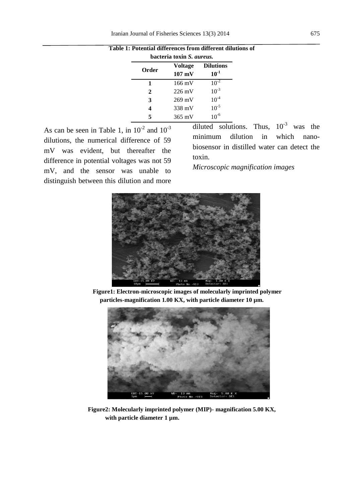| bacteria toxin S. <i>aureus</i> . |                                    |                               |  |  |
|-----------------------------------|------------------------------------|-------------------------------|--|--|
| Order                             | <b>Voltage</b><br>$107 \text{ mV}$ | <b>Dilutions</b><br>$10^{-1}$ |  |  |
| 1                                 | 166 mV                             | $10^{-2}$                     |  |  |
| $\overline{2}$                    | $226 \text{ mV}$                   | $10^{-3}$                     |  |  |
| 3                                 | $269$ mV                           | $10^{-4}$                     |  |  |
|                                   | 338 mV                             | $10^{-5}$                     |  |  |
|                                   | $365 \text{ mV}$                   | $10^{-6}$                     |  |  |

**Table 1: Potential differences from different dilutions of**

As can be seen in Table 1, in  $10^{-2}$  and  $10^{-3}$ dilutions, the numerical difference of 59 mV was evident, but thereafter the difference in potential voltages was not 59 mV, and the sensor was unable to distinguish between this dilution and more diluted solutions. Thus,  $10^{-3}$  was the minimum dilution in which nanobiosensor in distilled water can detect the toxin.

*Microscopic magnification images*



 **Figure1: Electron-microscopic images of molecularly imprinted polymer particles-magnification 1.00 KX, with particle diameter 10 µm.**



**Figure2: Molecularly imprinted polymer (MIP)- magnification 5.00 KX, with particle diameter 1 µm.**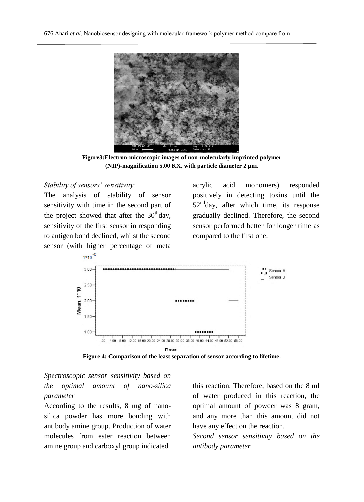

**Figure3:Electron-microscopic images of non-molecularly imprinted polymer (NIP)-magnification 5.00 KX, with particle diameter 2 µm.**

### *Stability of sensors' sensitivity:*

The analysis of stability of sensor sensitivity with time in the second part of the project showed that after the  $30<sup>th</sup>$ day, sensitivity of the first sensor in responding to antigen bond declined, whilst the second sensor (with higher percentage of meta acrylic acid monomers) responded positively in detecting toxins until the  $52<sup>nd</sup>day$ , after which time, its response gradually declined. Therefore, the second sensor performed better for longer time as compared to the first one.



**Figure 4: Comparison of the least separation of sensor according to lifetime.**

## *Spectroscopic sensor sensitivity based on the optimal amount of nano-silica parameter*

According to the results, 8 mg of nanosilica powder has more bonding with antibody amine group. Production of water molecules from ester reaction between amine group and carboxyl group indicated

this reaction. Therefore, based on the 8 ml of water produced in this reaction, the optimal amount of powder was 8 gram, and any more than this amount did not have any effect on the reaction.

*Second sensor sensitivity based on the antibody parameter*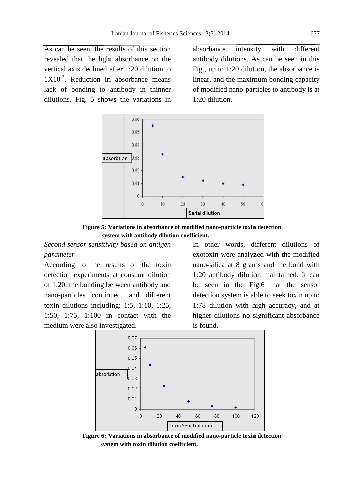As can be seen, the results of this section revealed that the light absorbance on the vertical axis declined after 1:20 dilution to  $1X10^{-2}$ . Reduction in absorbance means lack of bonding to antibody in thinner dilutions. Fig. 5 shows the variations in absorbance intensity with different antibody dilutions. As can be seen in this Fig., up to 1:20 dilution, the absorbance is linear, and the maximum bonding capacity of modified nano-particles to antibody is at 1:20 dilution.



**Figure 5: Variations in absorbance of modified nano-particle toxin detection system with antibody dilution coefficient.**

*Second sensor sensitivity based on antigen parameter*

According to the results of the toxin detection experiments at constant dilution of 1:20, the bonding between antibody and nano-particles continued, and different toxin dilutions including: 1:5, 1:10, 1:25, 1:50, 1:75, 1:100 in contact with the medium were also investigated.

In other words, different dilutions of exotoxin were analyzed with the modified nano-silica at 8 grams and the bond with 1:20 antibody dilution maintained. It can be seen in the Fig.6 that the sensor detection system is able to seek toxin up to 1:78 dilution with high accuracy, and at higher dilutions no significant absorbance is found.



**Figure 6: Variations in absorbance of modified nano-particle toxin detection system with toxin dilution coefficient.**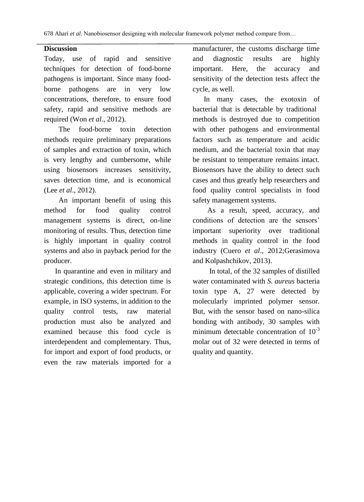## **Discussion**

Today, use of rapid and sensitive techniques for detection of food-borne pathogens is important. Since many foodborne pathogens are in very low concentrations, therefore, to ensure food safety, rapid and sensitive methods are required (Won *et al*[., 2012\)](#page-16-2).

 The food-borne toxin detection methods require preliminary preparations of samples and extraction of toxin, which is very lengthy and cumbersome, while using biosensors increases sensitivity, saves detection time, and is economical (Lee *et al*[., 2012\)](#page-15-8).

 An important benefit of using this method for food quality control management systems is direct, on-line monitoring of results. Thus, detection time is highly important in quality control systems and also in payback period for the producer.

 In quarantine and even in military and strategic conditions, this detection time is applicable, covering a wider spectrum. For example, in ISO systems, in addition to the quality control tests, raw material production must also be analyzed and examined because this food cycle is interdependent and complementary. Thus, for import and export of food products, or even the raw materials imported for a manufacturer, the customs discharge time and diagnostic results are highly important. Here, the accuracy and sensitivity of the detection tests affect the cycle, as well.

 In many cases, the exotoxin of bacterial that is detectable by traditional methods is destroyed due to competition with other pathogens and environmental factors such as temperature and acidic medium, and the bacterial toxin that may be resistant to temperature remains intact. Biosensors have the ability to detect such cases and thus greatly help researchers and food quality control specialists in food safety management systems.

 As a result, speed, accuracy, and conditions of detection are the sensors' important superiority over traditional methods in quality control in the food industry (Cuero *et al*[., 2012](#page-14-0)[;Gerasimova](#page-14-1)  [and Kolpashchikov, 2013\)](#page-14-1).

 In total, of the 32 samples of distilled water contaminated with *S. aureus* bacteria toxin type A, 27 were detected by molecularly imprinted polymer sensor. But, with the sensor based on nano-silica bonding with antibody, 30 samples with minimum detectable concentration of  $10^{-3}$ molar out of 32 were detected in terms of quality and quantity.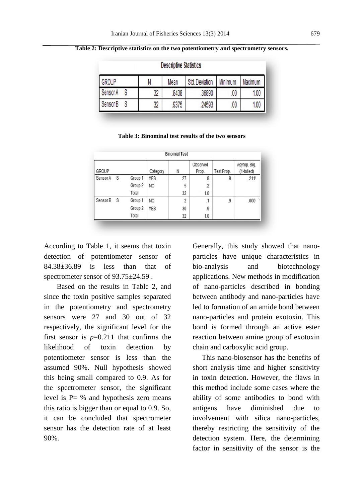|              |    | <b>Descriptive Statistics</b> |                |         |         |  |
|--------------|----|-------------------------------|----------------|---------|---------|--|
| <b>GROUP</b> | N  | Mean                          | Std. Deviation | Minimum | Maximum |  |
| Sensor A     | 32 | 8438                          | 36890          | .00     | 1.00    |  |
| Sensor B     | 32 | 9375                          | 24593          | 00      | 1.00    |  |

**Table 2: Descriptive statistics on the two potentiometry and spectrometry sensors.**

**Table 3: Binominal test results of the two sensors**

| <b>Binomial Test</b><br>Observed<br>Asymp. Sig. |     |         |                |    |                          |            |            |
|-------------------------------------------------|-----|---------|----------------|----|--------------------------|------------|------------|
| <b>GROUP</b>                                    |     |         | Category       | N  | Prop.                    | Test Prop. | (1-tailed) |
| Sensor A                                        | S   | Group 1 | <b>YES</b>     | 27 | $\overline{\mathcal{S}}$ | .9         | .211       |
|                                                 |     | Group 2 | N <sub>O</sub> | 5  | $\overline{2}$           |            |            |
|                                                 |     | Total   |                | 32 | 1.0                      |            |            |
| Sensor B                                        | - S | Group 1 | N <sub>O</sub> | 2  | $\cdot$ 1                | 9          | .000       |
|                                                 |     | Group 2 | <b>YES</b>     | 30 | .9                       |            |            |
|                                                 |     | Total   |                | 32 | 1.0                      |            |            |

According to Table 1, it seems that toxin detection of potentiometer sensor of 84.38±36.89 is less than that of spectrometer sensor of 93.75±24.59 .

 Based on the results in Table 2, and since the toxin positive samples separated in the potentiometry and spectrometry sensors were 27 and 30 out of 32 respectively, the significant level for the first sensor is  $p=0.211$  that confirms the likelihood of toxin detection by potentiometer sensor is less than the assumed 90%. Null hypothesis showed this being small compared to 0.9. As for the spectrometer sensor, the significant level is P= % and hypothesis zero means this ratio is bigger than or equal to 0.9. So, it can be concluded that spectrometer sensor has the detection rate of at least 90%.

Generally, this study showed that nanoparticles have unique characteristics in bio-analysis and biotechnology applications. New methods in modification of nano-particles described in bonding between antibody and nano-particles have led to formation of an amide bond between nano-particles and protein exotoxin. This bond is formed through an active ester reaction between amine group of exotoxin chain and carboxylic acid group.

 This nano-biosensor has the benefits of short analysis time and higher sensitivity in toxin detection. However, the flaws in this method include some cases where the ability of some antibodies to bond with antigens have diminished due to involvement with silica nano-particles, thereby restricting the sensitivity of the detection system. Here, the determining factor in sensitivity of the sensor is the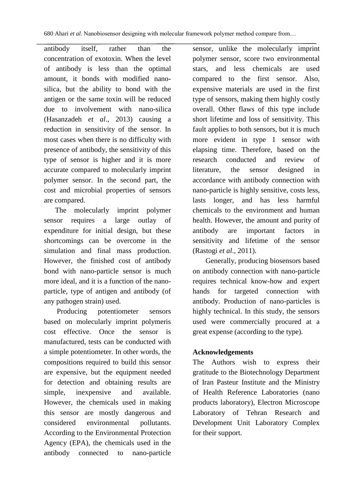antibody itself, rather than the concentration of exotoxin. When the level of antibody is less than the optimal amount, it bonds with modified nanosilica, but the ability to bond with the antigen or the same toxin will be reduced due to involvement with nano-silica (Hasanzadeh *et al*., 2013) causing a reduction in sensitivity of the sensor. In most cases when there is no difficulty with presence of antibody, the sensitivity of this type of sensor is higher and it is more accurate compared to molecularly imprint polymer sensor. In the second part, the cost and microbial properties of sensors are compared.

 The molecularly imprint polymer sensor requires a large outlay of expenditure for initial design, but these shortcomings can be overcome in the simulation and final mass production. However, the finished cost of antibody bond with nano-particle sensor is much more ideal, and it is a function of the nanoparticle, type of antigen and antibody (of any pathogen strain) used.

 Producing potentiometer sensors based on molecularly imprint polymeris cost effective. Once the sensor is manufactured, tests can be conducted with a simple potentiometer. In other words, the compositions required to build this sensor are expensive, but the equipment needed for detection and obtaining results are simple, inexpensive and available. However, the chemicals used in making this sensor are mostly dangerous and considered environmental pollutants. According to the Environmental Protection Agency (EPA), the chemicals used in the antibody connected to nano-particle sensor, unlike the molecularly imprint polymer sensor, score two environmental stars, and less chemicals are used compared to the first sensor. Also, expensive materials are used in the first type of sensors, making them highly costly overall. Other flaws of this type include short lifetime and loss of sensitivity. This fault applies to both sensors, but it is much more evident in type 1 sensor with elapsing time. Therefore, based on the research conducted and review of literature, the sensor designed in accordance with antibody connection with nano-particle is highly sensitive, costs less, lasts longer, and has less harmful chemicals to the environment and human health. However, the amount and purity of antibody are important factors in sensitivity and lifetime of the sensor [\(Rastogi](#page-15-7) *et al*., 2011).

 Generally, producing biosensors based on antibody connection with nano-particle requires technical know-how and expert hands for targeted connection with antibody. Production of nano-particles is highly technical. In this study, the sensors used were commercially procured at a great expense (according to the type).

## **Acknowledgements**

The Authors wish to express their gratitude to the Biotechnology Department of Iran Pasteur Institute and the Ministry of Health Reference Laboratories (nano products laboratory), Electron Microscope Laboratory of Tehran Research and Development Unit Laboratory Complex for their support.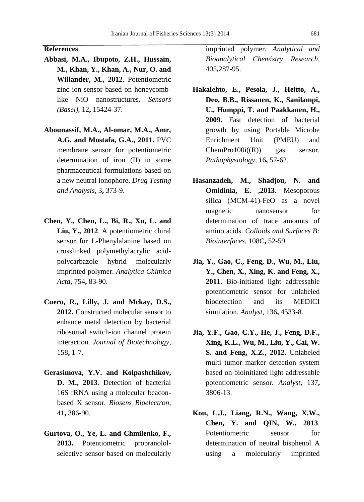#### **References**

- <span id="page-14-4"></span>**Abbasi, M.A., Ibupoto, Z.H., Hussain, M., Khan, Y., Khan, A., Nur, O. and Willander, M., 2012**. Potentiometric zinc ion sensor based on honeycomblike NiO nanostructures. *Sensors (Basel),* 12**,** 15424-37.
- <span id="page-14-9"></span>**Abounassif, M.A., Al-omar, M.A., Amr, A.G. and Mostafa, G.A., 2011.** PVC membrane sensor for potentiometric determination of iron (II) in some pharmaceutical formulations based on a new neutral ionophore. *Drug Testing and Analysis,* 3**,** 373-9.
- <span id="page-14-5"></span>**Chen, Y., Chen, L., Bi, R., Xu, L. and Liu, Y., 2012**. A potentiometric chiral sensor for L-Phenylalanine based on crosslinked polymethylacrylic acidpolycarbazole hybrid molecularly imprinted polymer. *Analytica Chimica Acta,* 754**,** 83-90.
- <span id="page-14-0"></span>**Cuero, R., Lilly, J. and Mckay, D.S., 2012.** Constructed molecular sensor to enhance metal detection by bacterial ribosomal switch-ion channel protein interaction. *Journal of Biotechnology,* 158**,** 1-7.
- <span id="page-14-1"></span>**Gerasimova, Y.V. and Kolpashchikov, D. M., 2013**. Detection of bacterial 16S rRNA using a molecular beaconbased X sensor. *Biosens Bioelectron,* 41**,** 386-90.
- <span id="page-14-6"></span>**Gurtova, O., Ye, L. and Chmilenko, F., 2013.** Potentiometric propranololselective sensor based on molecularly

imprinted polymer. *Analytical and Bioanalytical Chemistry Research,* 405**,**287-95.

- <span id="page-14-2"></span>**Hakalehto, E., Pesola, J., Heitto, A., Deo, B.B., Rissanen, K., Sanilampi, U., Humppi, T. and Paakkanen, H., 2009.** Fast detection of bacterial growth by using Portable Microbe Enrichment Unit (PMEU) and  $ChemPro100i(R)$  gas sensor. *Pathophysiology,* 16**,** 57-62.
- <span id="page-14-10"></span>**Hasanzadeh, M., Shadjou, N. and Omidinia, E. ,2013**. Mesoporous silica (MCM-41)-FeO as a novel magnetic nanosensor for determination of trace amounts of amino acids. *Colloids and Surfaces B: Biointerfaces,* 108C**,** 52-59.
- <span id="page-14-7"></span>**Jia, Y., Gao, C., Feng, D., Wu, M., Liu, Y., Chen, X., Xing, K. and Feng, X., 2011**. Bio-initiated light addressable potentiometric sensor for unlabeled biodetection and its MEDICI simulation. *Analyst,* 136**,** 4533-8.
- <span id="page-14-8"></span>**Jia, Y.F., Gao, C.Y., He, J., Feng, D.F., Xing, K.L., Wu, M., Liu, Y., Cai, W. S. and Feng, X.Z., 2012**. Unlabeled multi tumor marker detection system based on bioinitiated light addressable potentiometric sensor. *Analyst,* 137**,** 3806-13.
- <span id="page-14-3"></span>**Kou, L.J., Liang, R.N., Wang, X.W., Chen, Y. and QIN, W., 2013**. Potentiometric sensor for determination of neutral bisphenol A using a molecularly imprinted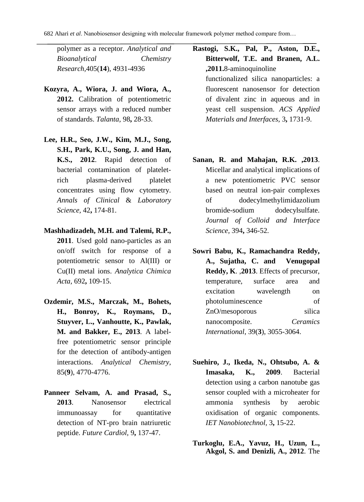polymer as a receptor. *Analytical and Bioanalytical Chemistry Research,*405(**14**), 4931-4936

- **Kozyra, A., Wiora, J. and Wiora, A., 2012.** Calibration of potentiometric sensor arrays with a reduced number of standards. *Talanta,* 98**,** 28-33.
- <span id="page-15-8"></span>**Lee, H.R., Seo, J.W., Kim, M.J., Song, S.H., Park, K.U., Song, J. and Han, K.S., 2012**. Rapid detection of bacterial contamination of plateletrich plasma-derived platelet concentrates using flow cytometry. *Annals of Clinical* & *Laboratory Science,* 42**,** 174-81.
- <span id="page-15-6"></span>**Mashhadizadeh, M.H. and Talemi, R.P., 2011**. Used gold nano-particles as an on/off switch for response of a potentiometric sensor to Al(III) or Cu(II) metal ions. *Analytica Chimica Acta,* 692**,** 109-15.
- <span id="page-15-3"></span>**Ozdemir, M.S., Marczak, M., Bohets, H., Bonroy, K., Roymans, D., Stuyver, L., Vanhoutte, K., Pawlak, M. and Bakker, E., 2013**. A labelfree potentiometric sensor principle for the detection of antibody-antigen interactions. *Analytical Chemistry*, 85(**9**), 4770-4776.
- <span id="page-15-1"></span>**Panneer Selvam, A. and Prasad, S., 2013**. Nanosensor electrical immunoassay for quantitative detection of NT-pro brain natriuretic peptide. *Future Cardiol,* 9**,** 137-47.

<span id="page-15-7"></span><span id="page-15-4"></span>**Rastogi, S.K., Pal, P., Aston, D.E., Bitterwolf, T.E. and Branen, A.L. ,2011.**8-aminoquinoline functionalized silica nanoparticles: a fluorescent nanosensor for detection of divalent zinc in aqueous and in yeast cell suspension. *ACS Applied Materials and Interfaces,* 3**,** 1731-9.

- <span id="page-15-5"></span>**Sanan, R. and Mahajan, R.K. ,2013**. Micellar and analytical implications of a new potentiometric PVC sensor based on neutral ion-pair complexes of dodecylmethylimidazolium bromide-sodium dodecylsulfate. *Journal of Colloid and Interface Science,* 394**,** 346-52.
- **Sowri Babu, K., Ramachandra Reddy, A., Sujatha, C. and Venugopal Reddy, K**. ,**2013**. [Effects of precursor,](http://scholar.google.co.in/citations?view_op=view_citation&hl=en&user=xWNnzyIAAAAJ&citation_for_view=xWNnzyIAAAAJ:j3f4tGmQtD8C)  [temperature, surface area and](http://scholar.google.co.in/citations?view_op=view_citation&hl=en&user=xWNnzyIAAAAJ&citation_for_view=xWNnzyIAAAAJ:j3f4tGmQtD8C)  [excitation wavelength on](http://scholar.google.co.in/citations?view_op=view_citation&hl=en&user=xWNnzyIAAAAJ&citation_for_view=xWNnzyIAAAAJ:j3f4tGmQtD8C)  [photoluminescence of](http://scholar.google.co.in/citations?view_op=view_citation&hl=en&user=xWNnzyIAAAAJ&citation_for_view=xWNnzyIAAAAJ:j3f4tGmQtD8C)  [ZnO/mesoporous silica](http://scholar.google.co.in/citations?view_op=view_citation&hl=en&user=xWNnzyIAAAAJ&citation_for_view=xWNnzyIAAAAJ:j3f4tGmQtD8C)  [nanocomposite.](http://scholar.google.co.in/citations?view_op=view_citation&hl=en&user=xWNnzyIAAAAJ&citation_for_view=xWNnzyIAAAAJ:j3f4tGmQtD8C) *Ceramics International*, 39(**3**), 3055-3064.
- <span id="page-15-2"></span>**Suehiro, J., Ikeda, N., Ohtsubo, A. & Imasaka, K., 2009**. Bacterial detection using a carbon nanotube gas sensor coupled with a microheater for ammonia synthesis by aerobic oxidisation of organic components. *IET Nanobiotechnol,* 3**,** 15-22.
- <span id="page-15-0"></span>**Turkoglu, E.A., Yavuz, H., Uzun, L., Akgol, S. and Denizli, A., 2012**. The